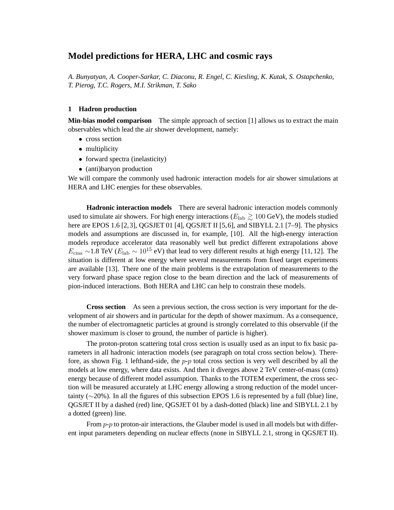# **Model predictions for HERA, LHC and cosmic rays**

*A. Bunyatyan, A. Cooper-Sarkar, C. Diaconu, R. Engel, C. Kiesling, K. Kutak, S. Ostapchenko, T. Pierog, T.C. Rogers, M.I. Strikman, T. Sako*

### **1 Hadron production**

**Min-bias model comparison** The simple approach of section [1] allows us to extract the main observables which lead the air shower development, namely:

- cross section
- multiplicity
- forward spectra (inelasticity)
- (anti)baryon production

We will compare the commonly used hadronic interaction models for air shower simulations at HERA and LHC energies for these observables.

**Hadronic interaction models** There are several hadronic interaction models commonly used to simulate air showers. For high energy interactions ( $E_{\text{lab}} \gtrsim 100 \text{ GeV}$ ), the models studied here are EPOS 1.6 [2,3], QGSJET 01 [4], QGSJET II [5,6], and SIBYLL 2.1 [7–9]. The physics models and assumptions are discussed in, for example, [10]. All the high-energy interaction models reproduce accelerator data reasonably well but predict different extrapolations above  $E_{\rm cms} \sim 1.8$  TeV ( $E_{\rm lab} \sim 10^{15}$  eV) that lead to very different results at high energy [11, 12]. The situation is different at low energy where several measurements from fixed target experiments are available [13]. There one of the main problems is the extrapolation of measurements to the very forward phase space region close to the beam direction and the lack of measurements of pion-induced interactions. Both HERA and LHC can help to constrain these models.

**Cross section** As seen a previous section, the cross section is very important for the development of air showers and in particular for the depth of shower maximum. As a consequence, the number of electromagnetic particles at ground is strongly correlated to this observable (if the shower maximum is closer to ground, the number of particle is higher).

The proton-proton scattering total cross section is usually used as an input to fix basic parameters in all hadronic interaction models (see paragraph on total cross section below). Therefore, as shown Fig. 1 lefthand-side, the  $p-p$  total cross section is very well described by all the models at low energy, where data exists. And then it diverges above 2 TeV center-of-mass (cms) energy because of different model assumption. Thanks to the TOTEM experiment, the cross section will be measured accurately at LHC energy allowing a strong reduction of the model uncertainty (∼20%). In all the figures of this subsection EPOS 1.6 is represented by a full (blue) line, QGSJET II by a dashed (red) line, QGSJET 01 by a dash-dotted (black) line and SIBYLL 2.1 by a dotted (green) line.

From  $p-p$  to proton-air interactions, the Glauber model is used in all models but with different input parameters depending on nuclear effects (none in SIBYLL 2.1, strong in QGSJET II).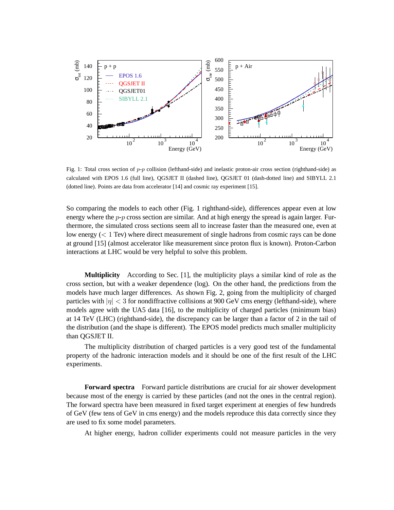

Fig. 1: Total cross section of  $p-p$  collision (lefthand-side) and inelastic proton-air cross section (righthand-side) as calculated with EPOS 1.6 (full line), QGSJET II (dashed line), QGSJET 01 (dash-dotted line) and SIBYLL 2.1 (dotted line). Points are data from accelerator [14] and cosmic ray experiment [15].

So comparing the models to each other (Fig. 1 righthand-side), differences appear even at low energy where the  $p-p$  cross section are similar. And at high energy the spread is again larger. Furthermore, the simulated cross sections seem all to increase faster than the measured one, even at low energy  $(< 1$  Tev) where direct measurement of single hadrons from cosmic rays can be done at ground [15] (almost accelerator like measurement since proton flux is known). Proton-Carbon interactions at LHC would be very helpful to solve this problem.

**Multiplicity** According to Sec. [1], the multiplicity plays a similar kind of role as the cross section, but with a weaker dependence (log). On the other hand, the predictions from the models have much larger differences. As shown Fig. 2, going from the multiplicity of charged particles with  $|\eta| < 3$  for nondiffractive collisions at 900 GeV cms energy (lefthand-side), where models agree with the UA5 data [16], to the multiplicity of charged particles (minimum bias) at 14 TeV (LHC) (righthand-side), the discrepancy can be larger than a factor of 2 in the tail of the distribution (and the shape is different). The EPOS model predicts much smaller multiplicity than QGSJET II.

The multiplicity distribution of charged particles is a very good test of the fundamental property of the hadronic interaction models and it should be one of the first result of the LHC experiments.

**Forward spectra** Forward particle distributions are crucial for air shower development because most of the energy is carried by these particles (and not the ones in the central region). The forward spectra have been measured in fixed target experiment at energies of few hundreds of GeV (few tens of GeV in cms energy) and the models reproduce this data correctly since they are used to fix some model parameters.

At higher energy, hadron collider experiments could not measure particles in the very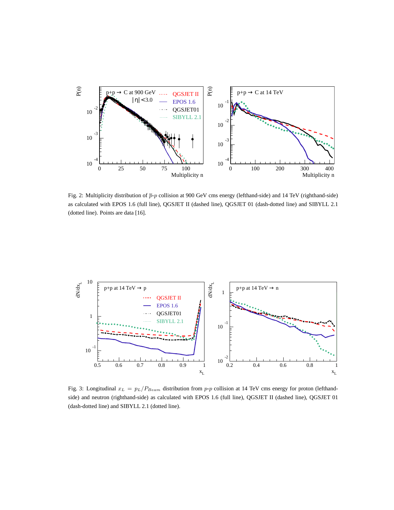

Fig. 2: Multiplicity distribution of  $\bar{p}_p$  collision at 900 GeV cms energy (lefthand-side) and 14 TeV (righthand-side) as calculated with EPOS 1.6 (full line), QGSJET II (dashed line), QGSJET 01 (dash-dotted line) and SIBYLL 2.1 (dotted line). Points are data [16].



Fig. 3: Longitudinal  $x_L = p_L/P_{Beam}$  distribution from p-p collision at 14 TeV cms energy for proton (lefthandside) and neutron (righthand-side) as calculated with EPOS 1.6 (full line), QGSJET II (dashed line), QGSJET 01 (dash-dotted line) and SIBYLL 2.1 (dotted line).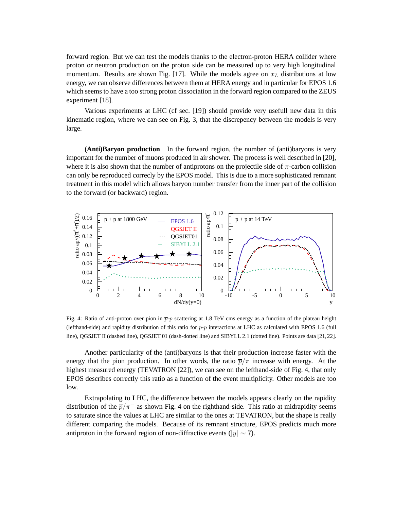forward region. But we can test the models thanks to the electron-proton HERA collider where proton or neutron production on the proton side can be measured up to very high longitudinal momentum. Results are shown Fig. [17]. While the models agree on  $x_L$  distributions at low energy, we can observe differences between them at HERA energy and in particular for EPOS 1.6 which seems to have a too strong proton dissociation in the forward region compared to the ZEUS experiment [18].

Various experiments at LHC (cf sec. [19]) should provide very usefull new data in this kinematic region, where we can see on Fig. 3, that the discrepency between the models is very large.

**(Anti)Baryon production** In the forward region, the number of (anti)baryons is very important for the number of muons produced in air shower. The process is well described in [20], where it is also shown that the number of antiprotons on the projectile side of  $\pi$ -carbon collision can only be reproduced correcly by the EPOS model. This is due to a more sophisticated remnant treatment in this model which allows baryon number transfer from the inner part of the collision to the forward (or backward) region.



Fig. 4: Ratio of anti-proton over pion in  $\bar{p}_p$  scattering at 1.8 TeV cms energy as a function of the plateau height (lefthand-side) and rapidity distribution of this ratio for  $p-p$  interactions at LHC as calculated with EPOS 1.6 (full line), QGSJET II (dashed line), QGSJET 01 (dash-dotted line) and SIBYLL 2.1 (dotted line). Points are data [21,22].

Another particularity of the (anti)baryons is that their production increase faster with the energy that the pion production. In other words, the ratio  $\bar{p}/\pi$  increase with energy. At the highest measured energy (TEVATRON [22]), we can see on the lefthand-side of Fig. 4, that only EPOS describes correctly this ratio as a function of the event multiplicity. Other models are too low.

Extrapolating to LHC, the difference between the models appears clearly on the rapidity distribution of the  $\bar{p}/\pi^-$  as shown Fig. 4 on the righthand-side. This ratio at midrapidity seems to saturate since the values at LHC are similar to the ones at TEVATRON, but the shape is really different comparing the models. Because of its remnant structure, EPOS predicts much more antiproton in the forward region of non-diffractive events ( $|y| \sim 7$ ).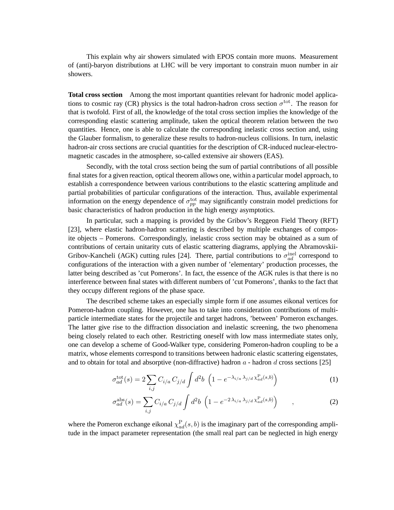This explain why air showers simulated with EPOS contain more muons. Measurement of (anti)-baryon distributions at LHC will be very important to constrain muon number in air showers.

**Total cross section** Among the most important quantities relevant for hadronic model applications to cosmic ray (CR) physics is the total hadron-hadron cross section  $\sigma^{\text{tot}}$ . The reason for that is twofold. First of all, the knowledge of the total cross section implies the knowledge of the corresponding elastic scattering amplitude, taken the optical theorem relation between the two quantities. Hence, one is able to calculate the corresponding inelastic cross section and, using the Glauber formalism, to generalize these results to hadron-nucleus collisions. In turn, inelastic hadron-air cross sections are crucial quantities for the description of CR-induced nuclear-electromagnetic cascades in the atmosphere, so-called extensive air showers (EAS).

Secondly, with the total cross section being the sum of partial contributions of all possible final states for a given reaction, optical theorem allows one, within a particular model approach, to establish a correspondence between various contributions to the elastic scattering amplitude and partial probabilities of particular configurations of the interaction. Thus, available experimental information on the energy dependence of  $\sigma_{pp}^{\text{tot}}$  may significantly constrain model predictions for basic characteristics of hadron production in the high energy asymptotics.

In particular, such a mapping is provided by the Gribov's Reggeon Field Theory (RFT) [23], where elastic hadron-hadron scattering is described by multiple exchanges of composite objects – Pomerons. Correspondingly, inelastic cross section may be obtained as a sum of contributions of certain unitarity cuts of elastic scattering diagrams, applying the Abramovskii-Gribov-Kancheli (AGK) cutting rules [24]. There, partial contributions to  $\sigma_{ad}^{\text{inel}}$  correspond to configurations of the interaction with a given number of 'elementary' production processes, the latter being described as 'cut Pomerons'. In fact, the essence of the AGK rules is that there is no interference between final states with different numbers of 'cut Pomerons', thanks to the fact that they occupy different regions of the phase space.

The described scheme takes an especially simple form if one assumes eikonal vertices for Pomeron-hadron coupling. However, one has to take into consideration contributions of multiparticle intermediate states for the projectile and target hadrons, 'between' Pomeron exchanges. The latter give rise to the diffraction dissociation and inelastic screening, the two phenomena being closely related to each other. Restricting oneself with low mass intermediate states only, one can develop a scheme of Good-Walker type, considering Pomeron-hadron coupling to be a matrix, whose elements correspond to transitions between hadronic elastic scattering eigenstates, and to obtain for total and absorptive (non-diffractive) hadron  $a$  - hadron  $d$  cross sections [25]

$$
\sigma_{ad}^{\text{tot}}(s) = 2 \sum_{i,j} C_{i/a} C_{j/d} \int d^2 b \left( 1 - e^{-\lambda_{i/a} \lambda_{j/d} \chi_{ad}^{\text{P}}(s,b)} \right)
$$
(1)

$$
\sigma_{ad}^{\text{abs}}(s) = \sum_{i,j} C_{i/a} C_{j/d} \int d^2b \, \left( 1 - e^{-2\,\lambda_{i/a}\,\lambda_{j/d}\,\chi_{ad}^{\text{P}}(s,b)} \right) \tag{2}
$$

where the Pomeron exchange eikonal  $\chi_{ad}^{\rm P}(s, b)$  is the imaginary part of the corresponding amplitude in the impact parameter representation (the small real part can be neglected in high energy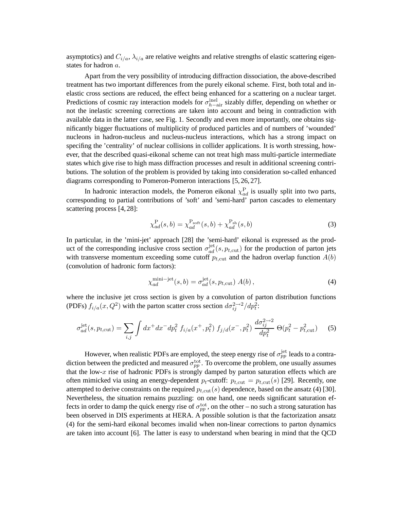asymptotics) and  $C_{i/a}$ ,  $\lambda_{i/a}$  are relative weights and relative strengths of elastic scattering eigenstates for hadron a.

Apart from the very possibility of introducing diffraction dissociation, the above-described treatment has two important differences from the purely eikonal scheme. First, both total and inelastic cross sections are reduced, the effect being enhanced for a scattering on a nuclear target. Predictions of cosmic ray interaction models for  $\sigma_{h-\text{air}}^{\text{inel}}$  sizably differ, depending on whether or not the inelastic screening corrections are taken into account and being in contradiction with available data in the latter case, see Fig. 1. Secondly and even more importantly, one obtains significantly bigger fluctuations of multiplicity of produced particles and of numbers of 'wounded' nucleons in hadron-nucleus and nucleus-nucleus interactions, which has a strong impact on specifing the 'centrality' of nuclear collisions in collider applications. It is worth stressing, however, that the described quasi-eikonal scheme can not treat high mass multi-particle intermediate states which give rise to high mass diffraction processes and result in additional screening contributions. The solution of the problem is provided by taking into consideration so-called enhanced diagrams corresponding to Pomeron-Pomeron interactions [5, 26, 27].

In hadronic interaction models, the Pomeron eikonal  $\chi_{ad}^{\rm P}$  is usually split into two parts, corresponding to partial contributions of 'soft' and 'semi-hard' parton cascades to elementary scattering process [4, 28]:

$$
\chi_{ad}^{\mathcal{P}}(s,b) = \chi_{ad}^{\mathcal{P}_{\text{soft}}}(s,b) + \chi_{ad}^{\mathcal{P}_{\text{sh}}}(s,b)
$$
(3)

In particular, in the 'mini-jet' approach [28] the 'semi-hard' eikonal is expressed as the product of the corresponding inclusive cross section  $\sigma_{ad}^{\text{jet}}(s, p_{t,\text{cut}})$  for the production of parton jets with transverse momentum exceeding some cutoff  $p_{t,\text{cut}}$  and the hadron overlap function  $A(b)$ (convolution of hadronic form factors):

$$
\chi_{ad}^{\text{mini}-jet}(s,b) = \sigma_{ad}^{\text{jet}}(s, p_{t,\text{cut}}) A(b), \qquad (4)
$$

where the inclusive jet cross section is given by a convolution of parton distribution functions (PDFs)  $f_{i/a}(x, Q^2)$  with the parton scatter cross section  $d\sigma_{ij}^{2\rightarrow 2}/dp_i^2$ :

$$
\sigma_{ad}^{\text{jet}}(s, p_{t, \text{cut}}) = \sum_{i,j} \int dx^+ dx^- dp_t^2 f_{i/a}(x^+, p_t^2) f_{j/d}(x^-, p_t^2) \frac{d\sigma_{ij}^{2 \to 2}}{dp_t^2} \Theta(p_t^2 - p_{t, \text{cut}}^2)
$$
 (5)

However, when realistic PDFs are employed, the steep energy rise of  $\sigma_{pp}^{\rm jet}$  leads to a contradiction between the predicted and measured  $\sigma_{pp}^{\rm tot}$ . To overcome the problem, one usually assumes that the low- $x$  rise of hadronic PDFs is strongly damped by parton saturation effects which are often mimicked via using an energy-dependent  $p_t$ -cutoff:  $p_{t,\text{cut}} = p_{t,\text{cut}}(s)$  [29]. Recently, one attempted to derive constraints on the required  $p_{t,\text{cut}}(s)$  dependence, based on the ansatz (4) [30]. Nevertheless, the situation remains puzzling: on one hand, one needs significant saturation effects in order to damp the quick energy rise of  $\sigma_{pp}^{\text{tot}}$ , on the other – no such a strong saturation has been observed in DIS experiments at HERA. A possible solution is that the factorization ansatz (4) for the semi-hard eikonal becomes invalid when non-linear corrections to parton dynamics are taken into account [6]. The latter is easy to understand when bearing in mind that the QCD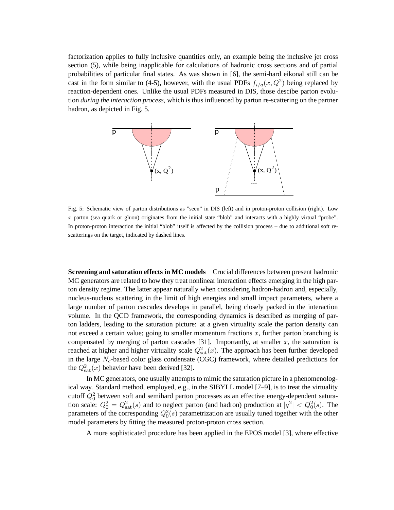factorization applies to fully inclusive quantities only, an example being the inclusive jet cross section (5), while being inapplicable for calculations of hadronic cross sections and of partial probabilities of particular final states. As was shown in [6], the semi-hard eikonal still can be cast in the form similar to (4-5), however, with the usual PDFs  $f_{i/a}(x, Q^2)$  being replaced by reaction-dependent ones. Unlike the usual PDFs measured in DIS, those descibe parton evolution *during the interaction process*, which is thus influenced by parton re-scattering on the partner hadron, as depicted in Fig. 5.



Fig. 5: Schematic view of parton distributions as "seen" in DIS (left) and in proton-proton collision (right). Low  $x$  parton (sea quark or gluon) originates from the initial state "blob" and interacts with a highly virtual "probe". In proton-proton interaction the initial "blob" itself is affected by the collision process – due to additional soft rescatterings on the target, indicated by dashed lines.

**Screening and saturation effects in MC models** Crucial differences between present hadronic MC generators are related to how they treat nonlinear interaction effects emerging in the high parton density regime. The latter appear naturally when considering hadron-hadron and, especially, nucleus-nucleus scattering in the limit of high energies and small impact parameters, where a large number of parton cascades develops in parallel, being closely packed in the interaction volume. In the QCD framework, the corresponding dynamics is described as merging of parton ladders, leading to the saturation picture: at a given virtuality scale the parton density can not exceed a certain value; going to smaller momentum fractions  $x$ , further parton branching is compensated by merging of parton cascades [31]. Importantly, at smaller  $x$ , the saturation is reached at higher and higher virtuality scale  $Q_{\text{sat}}^2(x)$ . The approach has been further developed in the large  $N_c$ -based color glass condensate (CGC) framework, where detailed predictions for the  $Q<sub>sat</sub><sup>2</sup>(x)$  behavior have been derived [32].

In MC generators, one usually attempts to mimic the saturation picture in a phenomenological way. Standard method, employed, e.g., in the SIBYLL model [7–9], is to treat the virtuality cutoff  $Q_0^2$  between soft and semihard parton processes as an effective energy-dependent saturation scale:  $Q_0^2 = Q_{\text{sat}}^2(s)$  and to neglect parton (and hadron) production at  $|q^2| < Q_0^2(s)$ . The parameters of the corresponding  $Q_0^2(s)$  parametrization are usually tuned together with the other model parameters by fitting the measured proton-proton cross section.

A more sophisticated procedure has been applied in the EPOS model [3], where effective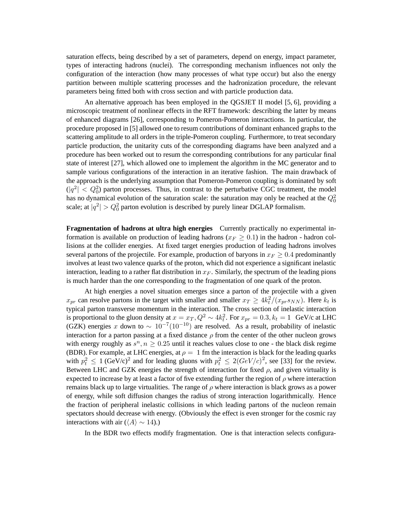saturation effects, being described by a set of parameters, depend on energy, impact parameter, types of interacting hadrons (nuclei). The corresponding mechanism influences not only the configuration of the interaction (how many processes of what type occur) but also the energy partition between multiple scattering processes and the hadronization procedure, the relevant parameters being fitted both with cross section and with particle production data.

An alternative approach has been employed in the QGSJET II model [5, 6], providing a microscopic treatment of nonlinear effects in the RFT framework: describing the latter by means of enhanced diagrams [26], corresponding to Pomeron-Pomeron interactions. In particular, the procedure proposed in [5] allowed one to resum contributions of dominant enhanced graphs to the scattering amplitude to all orders in the triple-Pomeron coupling. Furthermore, to treat secondary particle production, the unitarity cuts of the corresponding diagrams have been analyzed and a procedure has been worked out to resum the corresponding contributions for any particular final state of interest [27], which allowed one to implement the algorithm in the MC generator and to sample various configurations of the interaction in an iterative fashion. The main drawback of the approach is the underlying assumption that Pomeron-Pomeron coupling is dominated by soft  $(|q^2| < Q_0^2)$  parton processes. Thus, in contrast to the perturbative CGC treatment, the model has no dynamical evolution of the saturation scale: the saturation may only be reached at the  $Q_0^2$ scale; at  $|q^2| > Q_0^2$  parton evolution is described by purely linear DGLAP formalism.

**Fragmentation of hadrons at ultra high energies** Currently practically no experimental information is available on production of leading hadrons ( $x_F \geq 0.1$ ) in the hadron - hadron collisions at the collider energies. At fixed target energies production of leading hadrons involves several partons of the projectile. For example, production of baryons in  $x_F \geq 0.4$  predominantly involves at least two valence quarks of the proton, which did not experience a significant inelastic interaction, leading to a rather flat distribution in  $x_F$ . Similarly, the spectrum of the leading pions is much harder than the one corresponding to the fragmentation of one quark of the proton.

At high energies a novel situation emerges since a parton of the projectile with a given  $x_{pr}$  can resolve partons in the target with smaller and smaller  $x_T \ge 4k_t^2/(x_{pr}s_{NN})$ . Here  $k_t$  is typical parton transverse momentum in the interaction. The cross section of inelastic interaction is proportional to the gluon density at  $x = x_T, Q^2 \sim 4k_t^2$ . For  $x_{pr} = 0.3, k_t = 1$  GeV/c at LHC (GZK) energies x down to  $\sim 10^{-7} (10^{-10})$  are resolved. As a result, probability of inelastic interaction for a parton passing at a fixed distance  $\rho$  from the center of the other nucleon grows with energy roughly as  $s^n, n \geq 0.25$  until it reaches values close to one - the black disk regime (BDR). For example, at LHC energies, at  $\rho = 1$  fm the interaction is black for the leading quarks with  $p_t^2 \le 1$  (GeV/c)<sup>2</sup> and for leading gluons with  $p_t^2 \le 2(GeV/c)^2$ , see [33] for the review. Between LHC and GZK energies the strength of interaction for fixed  $\rho$ , and given virtuality is expected to increase by at least a factor of five extending further the region of  $\rho$  where interaction remains black up to large virtualities. The range of  $\rho$  where interaction is black grows as a power of energy, while soft diffusion changes the radius of strong interaction logarithmically. Hence the fraction of peripheral inelastic collisions in which leading partons of the nucleon remain spectators should decrease with energy. (Obviously the effect is even stronger for the cosmic ray interactions with air ( $\langle A \rangle \sim 14$ ).)

In the BDR two effects modify fragmentation. One is that interaction selects configura-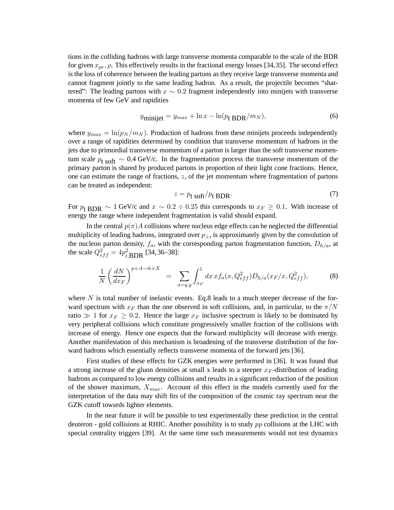tions in the colliding hadrons with large transverse momenta comparable to the scale of the BDR for given  $x_{pr}$ ,  $\rho$ . This effectively results in the fractional energy losses [34,35]. The second effect is the loss of coherence between the leading partons as they receive large transverse momenta and cannot fragment jointly to the same leading hadron. As a result, the projectile becomes "shattered": The leading partons with  $x \sim 0.2$  fragment independently into minijets with transverse momenta of few GeV and rapidities

$$
y_{\text{minijet}} = y_{max} + \ln x - \ln(p_{\text{t BDR}}/m_N),\tag{6}
$$

where  $y_{max} = \ln(p_N / m_N)$ . Production of hadrons from these minijets proceeds independently over a range of rapidities determined by condition that transverse momentum of hadrons in the jets due to primordial transverse momentum of a parton is larger than the soft transverse momentum scale  $p_{\text{t soft}} \sim 0.4 \text{ GeV/c}$ . In the fragmentation process the transverse momentum of the primary parton is shared by produced partons in proportion of their light cone fractions. Hence, one can estimate the range of fractions,  $z$ , of the jet momentum where fragmentation of partons can be treated as independent:

$$
z = p_{t \text{ soft}}/p_{t \text{ BDR}}.\tag{7}
$$

For  $p_t$  BDR  $\sim 1$  GeV/c and  $x \sim 0.2 \div 0.25$  this corresponds to  $x_F \ge 0.1$ . With increase of energy the range where independent fragmentation is valid should expand.

In the central  $p(\pi)A$  collisions where nucleus edge effects can be neglected the differential multiplicity of leading hadrons, integrated over  $p_{\perp}$ , is approximately given by the convolution of the nucleon parton density,  $f_a$ , with the corresponding parton fragmentation function,  $D_{h/a}$ , at the scale  $Q_{eff}^2 = 4p_{t,\text{BDR}}^2$  [34, 36–38]:

$$
\frac{1}{N} \left( \frac{dN}{dx_F} \right)^{p+A \to h+X} = \sum_{a=q,g} \int_{x_F}^1 dx \, x f_a(x, Q_{eff}^2) D_{h/a}(x_F/x, Q_{eff}^2), \tag{8}
$$

where  $N$  is total number of inelastic events. Eq.8 leads to a much steeper decrease of the forward spectrum with  $x_F$  than the one observed in soft collisions, and, in particular, to the  $\pi/N$ ratio  $\gg 1$  for  $x_F \geq 0.2$ . Hence the large  $x_F$  inclusive spectrum is likely to be dominated by very peripheral collisions which constitute progressively smaller fraction of the collisions with increase of energy. Hence one expects that the forward multiplicity will decrease with energy. Another manifestation of this mechanism is broadening of the transverse distribution of the forward hadrons which essentially reflects transverse momenta of the forward jets [36].

First studies of these effects for GZK energies were performed in [36]. It was found that a strong increase of the gluon densities at small x leads to a steeper  $x_F$ -distribution of leading hadrons as compared to low energy collisions and results in a significant reduction of the position of the shower maximum,  $X_{max}$ . Account of this effect in the models currently used for the interpretation of the data may shift fits of the composition of the cosmic ray spectrum near the GZK cutoff towards lighter elements.

In the near future it will be possible to test experimentally these prediction in the central deuteron - gold collisions at RHIC. Another possibility is to study pp collisions at the LHC with special centrality triggers [39]. At the same time such measurements would not test dynamics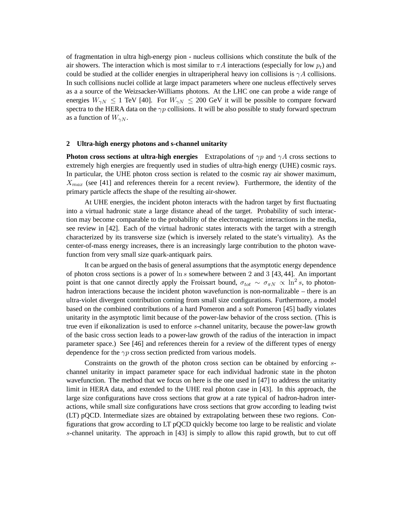of fragmentation in ultra high-energy pion - nucleus collisions which constitute the bulk of the air showers. The interaction which is most similar to  $\pi A$  interactions (especially for low  $p_t$ ) and could be studied at the collider energies in ultraperipheral heavy ion collisions is  $\gamma A$  collisions. In such collisions nuclei collide at large impact parameters where one nucleus effectively serves as a a source of the Weizsacker-Williams photons. At the LHC one can probe a wide range of energies  $W_{\gamma N} \le 1$  TeV [40]. For  $W_{\gamma N} \le 200$  GeV it will be possible to compare forward spectra to the HERA data on the  $\gamma p$  collisions. It will be also possible to study forward spectrum as a function of  $W_{\gamma N}$ .

#### **2 Ultra-high energy photons and s-channel unitarity**

**Photon cross sections at ultra-high energies** Extrapolations of  $\gamma p$  and  $\gamma A$  cross sections to extremely high energies are frequently used in studies of ultra-high energy (UHE) cosmic rays. In particular, the UHE photon cross section is related to the cosmic ray air shower maximum,  $X_{max}$  (see [41] and references therein for a recent review). Furthermore, the identity of the primary particle affects the shape of the resulting air-shower.

At UHE energies, the incident photon interacts with the hadron target by first fluctuating into a virtual hadronic state a large distance ahead of the target. Probability of such interaction may become comparable to the probability of the electromagnetic interactions in the media, see review in [42]. Each of the virtual hadronic states interacts with the target with a strength characterized by its transverse size (which is inversely related to the state's virtuality). As the center-of-mass energy increases, there is an increasingly large contribution to the photon wavefunction from very small size quark-antiquark pairs.

It can be argued on the basis of general assumptions that the asymptotic energy dependence of photon cross sections is a power of ln s somewhere between 2 and 3 [43, 44]. An important point is that one cannot directly apply the Froissart bound,  $\sigma_{tot} \sim \sigma_{\pi N} \propto \ln^2 s$ , to photonhadron interactions because the incident photon wavefunction is non-normalizable – there is an ultra-violet divergent contribution coming from small size configurations. Furthermore, a model based on the combined contributions of a hard Pomeron and a soft Pomeron [45] badly violates unitarity in the asymptotic limit because of the power-law behavior of the cross section. (This is true even if eikonalization is used to enforce s-channel unitarity, because the power-law growth of the basic cross section leads to a power-law growth of the radius of the interaction in impact parameter space.) See [46] and references therein for a review of the different types of energy dependence for the  $\gamma p$  cross section predicted from various models.

Constraints on the growth of the photon cross section can be obtained by enforcing schannel unitarity in impact parameter space for each individual hadronic state in the photon wavefunction. The method that we focus on here is the one used in [47] to address the unitarity limit in HERA data, and extended to the UHE real photon case in [43]. In this approach, the large size configurations have cross sections that grow at a rate typical of hadron-hadron interactions, while small size configurations have cross sections that grow according to leading twist (LT) pQCD. Intermediate sizes are obtained by extrapolating between these two regions. Configurations that grow according to LT pQCD quickly become too large to be realistic and violate s-channel unitarity. The approach in [43] is simply to allow this rapid growth, but to cut off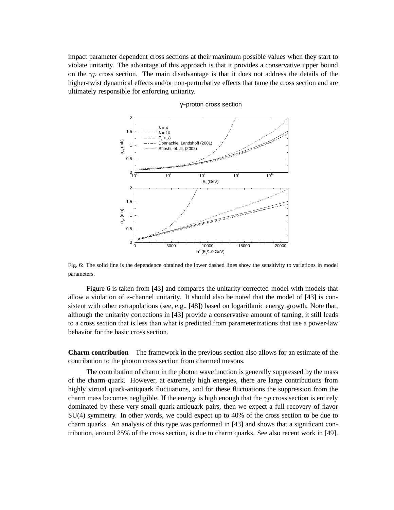impact parameter dependent cross sections at their maximum possible values when they start to violate unitarity. The advantage of this approach is that it provides a conservative upper bound on the  $\gamma p$  cross section. The main disadvantage is that it does not address the details of the higher-twist dynamical effects and/or non-perturbative effects that tame the cross section and are ultimately responsible for enforcing unitarity.



γ−proton cross section

Fig. 6: The solid line is the dependence obtained the lower dashed lines show the sensitivity to variations in model parameters.

Figure 6 is taken from [43] and compares the unitarity-corrected model with models that allow a violation of s-channel unitarity. It should also be noted that the model of [43] is consistent with other extrapolations (see, e.g., [48]) based on logarithmic energy growth. Note that, although the unitarity corrections in [43] provide a conservative amount of taming, it still leads to a cross section that is less than what is predicted from parameterizations that use a power-law behavior for the basic cross section.

**Charm contribution** The framework in the previous section also allows for an estimate of the contribution to the photon cross section from charmed mesons.

The contribution of charm in the photon wavefunction is generally suppressed by the mass of the charm quark. However, at extremely high energies, there are large contributions from highly virtual quark-antiquark fluctuations, and for these fluctuations the suppression from the charm mass becomes negligible. If the energy is high enough that the  $\gamma p$  cross section is entirely dominated by these very small quark-antiquark pairs, then we expect a full recovery of flavor SU(4) symmetry. In other words, we could expect up to 40% of the cross section to be due to charm quarks. An analysis of this type was performed in [43] and shows that a significant contribution, around 25% of the cross section, is due to charm quarks. See also recent work in [49].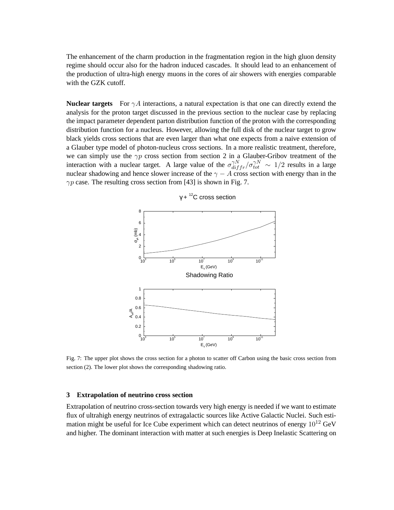The enhancement of the charm production in the fragmentation region in the high gluon density regime should occur also for the hadron induced cascades. It should lead to an enhancement of the production of ultra-high energy muons in the cores of air showers with energies comparable with the GZK cutoff.

**Nuclear targets** For  $\gamma A$  interactions, a natural expectation is that one can directly extend the analysis for the proton target discussed in the previous section to the nuclear case by replacing the impact parameter dependent parton distribution function of the proton with the corresponding distribution function for a nucleus. However, allowing the full disk of the nuclear target to grow black yields cross sections that are even larger than what one expects from a naive extension of a Glauber type model of photon-nucleus cross sections. In a more realistic treatment, therefore, we can simply use the  $\gamma p$  cross section from section 2 in a Glauber-Gribov treatment of the interaction with a nuclear target. A large value of the  $\sigma_{diff}^{\gamma N} / \sigma_{tot}^{\gamma N} \sim 1/2$  results in a large nuclear shadowing and hence slower increase of the  $\gamma - A$  cross section with energy than in the  $\gamma p$  case. The resulting cross section from [43] is shown in Fig. 7.



 $\gamma$  +  $^{12}$ C cross section

Fig. 7: The upper plot shows the cross section for a photon to scatter off Carbon using the basic cross section from section (2). The lower plot shows the corresponding shadowing ratio.

# **3 Extrapolation of neutrino cross section**

Extrapolation of neutrino cross-section towards very high energy is needed if we want to estimate flux of ultrahigh energy neutrinos of extragalactic sources like Active Galactic Nuclei. Such estimation might be useful for Ice Cube experiment which can detect neutrinos of energy  $10^{12}$  GeV and higher. The dominant interaction with matter at such energies is Deep Inelastic Scattering on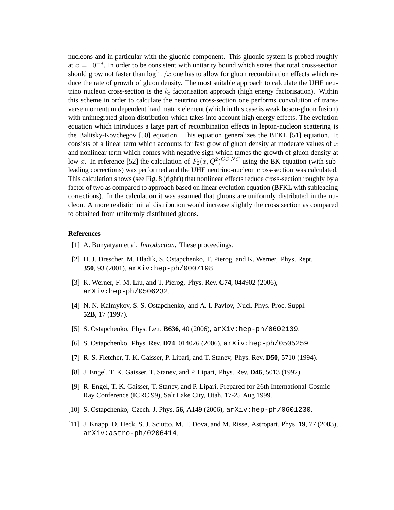nucleons and in particular with the gluonic component. This gluonic system is probed roughly at  $x = 10^{-8}$ . In order to be consistent with unitarity bound which states that total cross-section should grow not faster than  $\log^2 1/x$  one has to allow for gluon recombination effects which reduce the rate of growth of gluon density. The most suitable approach to calculate the UHE neutrino nucleon cross-section is the  $k_t$  factorisation approach (high energy factorisation). Within this scheme in order to calculate the neutrino cross-section one performs convolution of transverse momentum dependent hard matrix element (which in this case is weak boson-gluon fusion) with unintegrated gluon distribution which takes into account high energy effects. The evolution equation which introduces a large part of recombination effects in lepton-nucleon scattering is the Balitsky-Kovchegov [50] equation. This equation generalizes the BFKL [51] equation. It consists of a linear term which accounts for fast grow of gluon density at moderate values of  $x$ and nonlinear term which comes with negative sign which tames the growth of gluon density at low x. In reference [52] the calculation of  $F_2(x, Q^2)^{CC, NC}$  using the BK equation (with subleading corrections) was performed and the UHE neutrino-nucleon cross-section was calculated. This calculation shows (see Fig. 8 (right)) that nonlinear effects reduce cross-section roughly by a factor of two as compared to approach based on linear evolution equation (BFKL with subleading corrections). In the calculation it was assumed that gluons are uniformly distributed in the nucleon. A more realistic initial distribution would increase slightly the cross section as compared to obtained from uniformly distributed gluons.

## **References**

- [1] A. Bunyatyan et al, *Introduction*. These proceedings.
- [2] H. J. Drescher, M. Hladik, S. Ostapchenko, T. Pierog, and K. Werner, Phys. Rept. **350**, 93 (2001), arXiv:hep-ph/0007198.
- [3] K. Werner, F.-M. Liu, and T. Pierog, Phys. Rev. **C74**, 044902 (2006), arXiv:hep-ph/0506232.
- [4] N. N. Kalmykov, S. S. Ostapchenko, and A. I. Pavlov, Nucl. Phys. Proc. Suppl. **52B**, 17 (1997).
- [5] S. Ostapchenko, Phys. Lett. **B636**, 40 (2006), arXiv:hep-ph/0602139.
- [6] S. Ostapchenko, Phys. Rev. **D74**, 014026 (2006), arXiv:hep-ph/0505259.
- [7] R. S. Fletcher, T. K. Gaisser, P. Lipari, and T. Stanev, Phys. Rev. **D50**, 5710 (1994).
- [8] J. Engel, T. K. Gaisser, T. Stanev, and P. Lipari, Phys. Rev. **D46**, 5013 (1992).
- [9] R. Engel, T. K. Gaisser, T. Stanev, and P. Lipari. Prepared for 26th International Cosmic Ray Conference (ICRC 99), Salt Lake City, Utah, 17-25 Aug 1999.
- [10] S. Ostapchenko, Czech. J. Phys. **56**, A149 (2006), arXiv:hep-ph/0601230.
- [11] J. Knapp, D. Heck, S. J. Sciutto, M. T. Dova, and M. Risse, Astropart. Phys. **19**, 77 (2003), arXiv:astro-ph/0206414.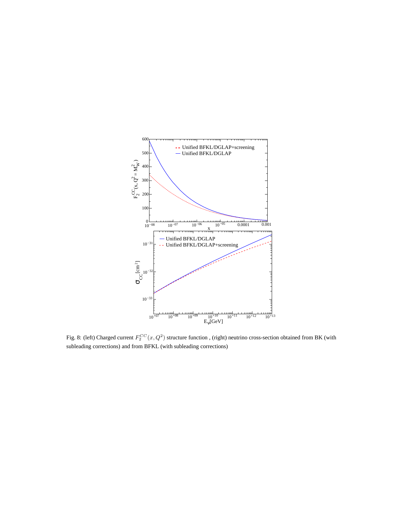

Fig. 8: (left) Charged current  $F_2^{CC}(x, Q^2)$  structure function, (right) neutrino cross-section obtained from BK (with subleading corrections) and from BFKL (with subleading corrections)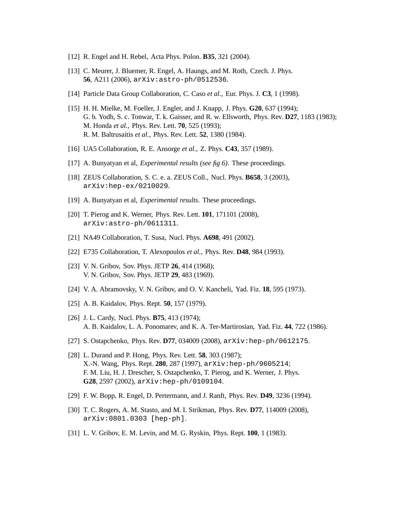- [12] R. Engel and H. Rebel, Acta Phys. Polon. **B35**, 321 (2004).
- [13] C. Meurer, J. Bluemer, R. Engel, A. Haungs, and M. Roth, Czech. J. Phys. **56**, A211 (2006), arXiv:astro-ph/0512536.
- [14] Particle Data Group Collaboration, C. Caso *et al.*, Eur. Phys. J. **C3**, 1 (1998).
- [15] H. H. Mielke, M. Foeller, J. Engler, and J. Knapp, J. Phys. **G20**, 637 (1994); G. b. Yodh, S. c. Tonwar, T. k. Gaisser, and R. w. Ellsworth, Phys. Rev. **D27**, 1183 (1983); M. Honda *et al.*, Phys. Rev. Lett. **70**, 525 (1993); R. M. Baltrusaitis *et al.*, Phys. Rev. Lett. **52**, 1380 (1984).
- [16] UA5 Collaboration, R. E. Ansorge *et al.*, Z. Phys. **C43**, 357 (1989).
- [17] A. Bunyatyan et al, *Experimental results (see fig 6)*. These proceedings.
- [18] ZEUS Collaboration, S. C. e. a. ZEUS Coll., Nucl. Phys. **B658**, 3 (2003), arXiv:hep-ex/0210029.
- [19] A. Bunyatyan et al, *Experimental results*. These proceedings.
- [20] T. Pierog and K. Werner, Phys. Rev. Lett. **101**, 171101 (2008), arXiv:astro-ph/0611311.
- [21] NA49 Collaboration, T. Susa, Nucl. Phys. **A698**, 491 (2002).
- [22] E735 Collaboration, T. Alexopoulos *et al.*, Phys. Rev. **D48**, 984 (1993).
- [23] V. N. Gribov, Sov. Phys. JETP **26**, 414 (1968); V. N. Gribov, Sov. Phys. JETP **29**, 483 (1969).
- [24] V. A. Abramovsky, V. N. Gribov, and O. V. Kancheli, Yad. Fiz. **18**, 595 (1973).
- [25] A. B. Kaidalov, Phys. Rept. **50**, 157 (1979).
- [26] J. L. Cardy, Nucl. Phys. **B75**, 413 (1974); A. B. Kaidalov, L. A. Ponomarev, and K. A. Ter-Martirosian, Yad. Fiz. **44**, 722 (1986).
- [27] S. Ostapchenko, Phys. Rev. **D77**, 034009 (2008), arXiv:hep-ph/0612175.
- [28] L. Durand and P. Hong, Phys. Rev. Lett. **58**, 303 (1987); X.-N. Wang, Phys. Rept. **280**, 287 (1997), arXiv:hep-ph/9605214; F. M. Liu, H. J. Drescher, S. Ostapchenko, T. Pierog, and K. Werner, J. Phys. **G28**, 2597 (2002), arXiv:hep-ph/0109104.
- [29] F. W. Bopp, R. Engel, D. Pertermann, and J. Ranft, Phys. Rev. **D49**, 3236 (1994).
- [30] T. C. Rogers, A. M. Stasto, and M. I. Strikman, Phys. Rev. **D77**, 114009 (2008), arXiv:0801.0303 [hep-ph].
- [31] L. V. Gribov, E. M. Levin, and M. G. Ryskin, Phys. Rept. **100**, 1 (1983).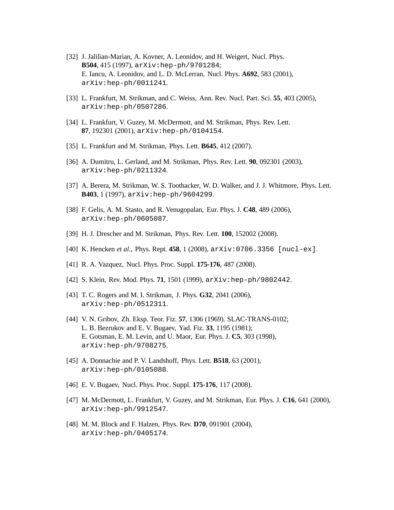- [32] J. Jalilian-Marian, A. Kovner, A. Leonidov, and H. Weigert, Nucl. Phys. **B504**, 415 (1997), arXiv:hep-ph/9701284; E. Iancu, A. Leonidov, and L. D. McLerran, Nucl. Phys. **A692**, 583 (2001), arXiv:hep-ph/0011241.
- [33] L. Frankfurt, M. Strikman, and C. Weiss, Ann. Rev. Nucl. Part. Sci. **55**, 403 (2005), arXiv:hep-ph/0507286.
- [34] L. Frankfurt, V. Guzey, M. McDermott, and M. Strikman, Phys. Rev. Lett. **87**, 192301 (2001), arXiv:hep-ph/0104154.
- [35] L. Frankfurt and M. Strikman, Phys. Lett. **B645**, 412 (2007).
- [36] A. Dumitru, L. Gerland, and M. Strikman, Phys. Rev. Lett. **90**, 092301 (2003), arXiv:hep-ph/0211324.
- [37] A. Berera, M. Strikman, W. S. Toothacker, W. D. Walker, and J. J. Whitmore, Phys. Lett. **B403**, 1 (1997), arXiv:hep-ph/9604299.
- [38] F. Gelis, A. M. Stasto, and R. Venugopalan, Eur. Phys. J. **C48**, 489 (2006), arXiv:hep-ph/0605087.
- [39] H. J. Drescher and M. Strikman, Phys. Rev. Lett. **100**, 152002 (2008).
- [40] K. Hencken *et al.*, Phys. Rept. **458**, 1 (2008), arXiv:0706.3356 [nucl-ex].
- [41] R. A. Vazquez, Nucl. Phys. Proc. Suppl. **175-176**, 487 (2008).
- [42] S. Klein, Rev. Mod. Phys. **71**, 1501 (1999), arXiv:hep-ph/9802442.
- [43] T. C. Rogers and M. I. Strikman, J. Phys. **G32**, 2041 (2006), arXiv:hep-ph/0512311.
- [44] V. N. Gribov, Zh. Eksp. Teor. Fiz. **57**, 1306 (1969). SLAC-TRANS-0102; L. B. Bezrukov and E. V. Bugaev, Yad. Fiz. **33**, 1195 (1981); E. Gotsman, E. M. Levin, and U. Maor, Eur. Phys. J. **C5**, 303 (1998), arXiv:hep-ph/9708275.
- [45] A. Donnachie and P. V. Landshoff, Phys. Lett. **B518**, 63 (2001), arXiv:hep-ph/0105088.
- [46] E. V. Bugaev, Nucl. Phys. Proc. Suppl. **175-176**, 117 (2008).
- [47] M. McDermott, L. Frankfurt, V. Guzey, and M. Strikman, Eur. Phys. J. **C16**, 641 (2000), arXiv:hep-ph/9912547.
- [48] M. M. Block and F. Halzen, Phys. Rev. **D70**, 091901 (2004), arXiv:hep-ph/0405174.